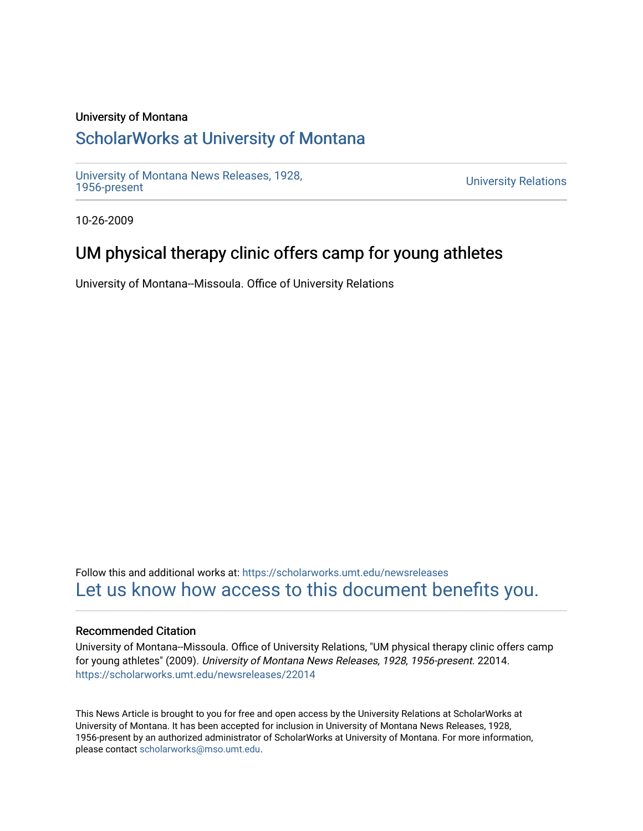### University of Montana

# [ScholarWorks at University of Montana](https://scholarworks.umt.edu/)

[University of Montana News Releases, 1928,](https://scholarworks.umt.edu/newsreleases) 

**University Relations** 

10-26-2009

# UM physical therapy clinic offers camp for young athletes

University of Montana--Missoula. Office of University Relations

Follow this and additional works at: [https://scholarworks.umt.edu/newsreleases](https://scholarworks.umt.edu/newsreleases?utm_source=scholarworks.umt.edu%2Fnewsreleases%2F22014&utm_medium=PDF&utm_campaign=PDFCoverPages) [Let us know how access to this document benefits you.](https://goo.gl/forms/s2rGfXOLzz71qgsB2) 

### Recommended Citation

University of Montana--Missoula. Office of University Relations, "UM physical therapy clinic offers camp for young athletes" (2009). University of Montana News Releases, 1928, 1956-present. 22014. [https://scholarworks.umt.edu/newsreleases/22014](https://scholarworks.umt.edu/newsreleases/22014?utm_source=scholarworks.umt.edu%2Fnewsreleases%2F22014&utm_medium=PDF&utm_campaign=PDFCoverPages) 

This News Article is brought to you for free and open access by the University Relations at ScholarWorks at University of Montana. It has been accepted for inclusion in University of Montana News Releases, 1928, 1956-present by an authorized administrator of ScholarWorks at University of Montana. For more information, please contact [scholarworks@mso.umt.edu.](mailto:scholarworks@mso.umt.edu)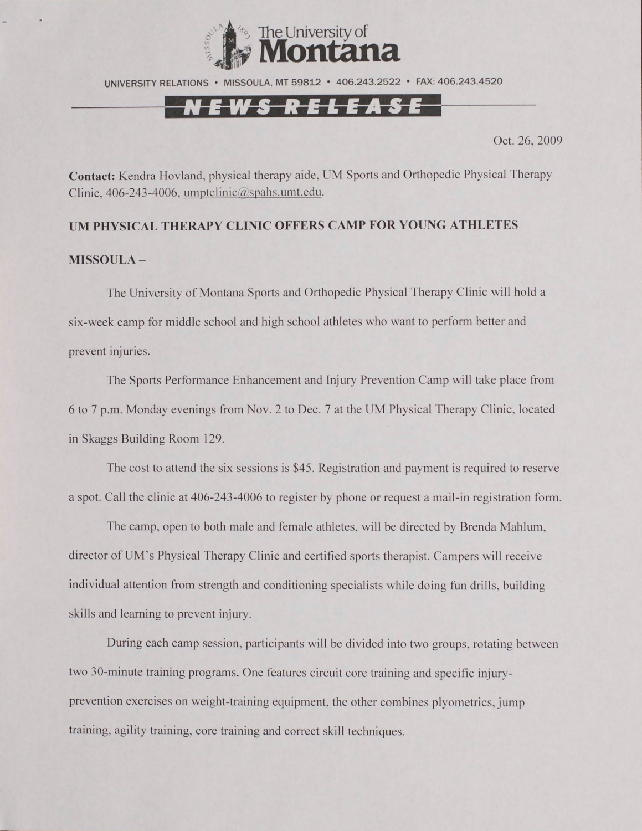

UNIVERSITY RELATIONS • MISSOULA, MT 59812 • 406.243.2522 • FAX: 406.243.4520

## EWS RELEASE

Oct. 26, 2009

**Contact:** Kendra Hovland, physical therapy aide, UM Sports and Orthopedic Physical Therapy Clinic, 406-243-4006. [umptclinic@spahs.umt.edu.](mailto:umptclinic@spahs.umt.edu)

#### **UM PHYSICAL THERAPY CLINIC OFFERS CAMP FOR YOUNG ATHLETES**

#### **MISSOULA-**

The University of Montana Sports and Orthopedic Physical Therapy Clinic will hold a six-week camp for middle school and high school athletes who want to perform better and prevent injuries.

The Sports Performance Enhancement and Injury Prevention Camp will take place from 6 to 7 p.m. Monday evenings from Nov. 2 to Dec. 7 at the UM Physical Therapy Clinic, located in Skaggs Building Room 129.

The cost to attend the six sessions is \$45. Registration and payment is required to reserve a spot. Call the clinic at 406-243-4006 to register by phone or request a mail-in registration form.

The camp, open to both male and female athletes, will be directed by Brenda Mahlum. director of UM's Physical Therapy Clinic and certified sports therapist. Campers will receive individual attention from strength and conditioning specialists while doing fun drills, building skills and learning to prevent injury.

During each camp session, participants will be divided into two groups, rotating between two 30-minute training programs. One features circuit core training and specific injuryprevention exercises on weight-training equipment, the other combines plyometrics, jump training, agility training, core training and correct skill techniques.